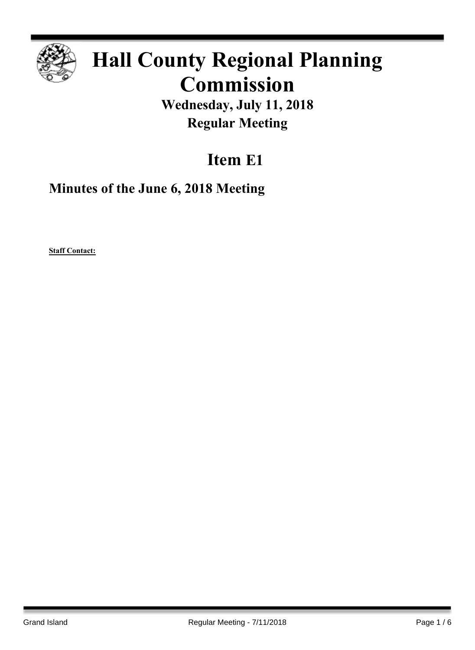

# **Hall County Regional Planning Commission**

**Wednesday, July 11, 2018 Regular Meeting**

# **Item E1**

**Minutes of the June 6, 2018 Meeting**

**Staff Contact:**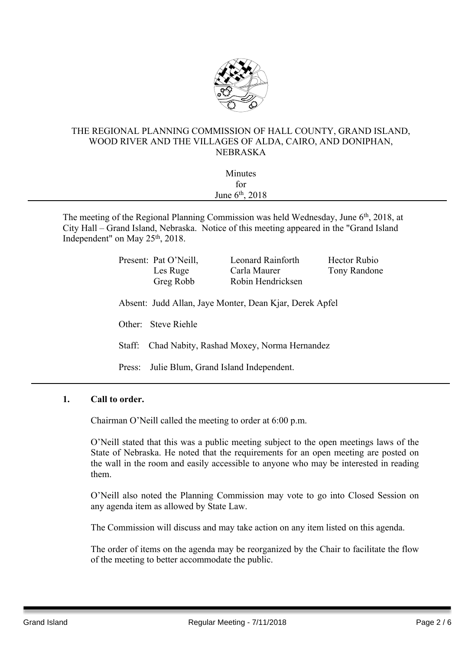

### THE REGIONAL PLANNING COMMISSION OF HALL COUNTY, GRAND ISLAND, WOOD RIVER AND THE VILLAGES OF ALDA, CAIRO, AND DONIPHAN, NEBRASKA

| Minutes                  |  |
|--------------------------|--|
|                          |  |
| for<br>June $6th$ , 2018 |  |
|                          |  |

The meeting of the Regional Planning Commission was held Wednesday, June 6<sup>th</sup>, 2018, at City Hall – Grand Island, Nebraska. Notice of this meeting appeared in the "Grand Island Independent" on May 25<sup>th</sup>, 2018.

|                     | Present: Pat O'Neill,<br>Les Ruge<br>Greg Robb  | Leonard Rainforth<br>Carla Maurer<br>Robin Hendricksen  | Hector Rubio<br>Tony Randone |  |  |
|---------------------|-------------------------------------------------|---------------------------------------------------------|------------------------------|--|--|
|                     |                                                 | Absent: Judd Allan, Jaye Monter, Dean Kjar, Derek Apfel |                              |  |  |
| Other: Steve Riehle |                                                 |                                                         |                              |  |  |
| Staff:              | Chad Nabity, Rashad Moxey, Norma Hernandez      |                                                         |                              |  |  |
|                     | Julie Blum, Grand Island Independent.<br>Press: |                                                         |                              |  |  |

#### **1. Call to order.**

Chairman O'Neill called the meeting to order at 6:00 p.m.

O'Neill stated that this was a public meeting subject to the open meetings laws of the State of Nebraska. He noted that the requirements for an open meeting are posted on the wall in the room and easily accessible to anyone who may be interested in reading them.

O'Neill also noted the Planning Commission may vote to go into Closed Session on any agenda item as allowed by State Law.

The Commission will discuss and may take action on any item listed on this agenda.

The order of items on the agenda may be reorganized by the Chair to facilitate the flow of the meeting to better accommodate the public.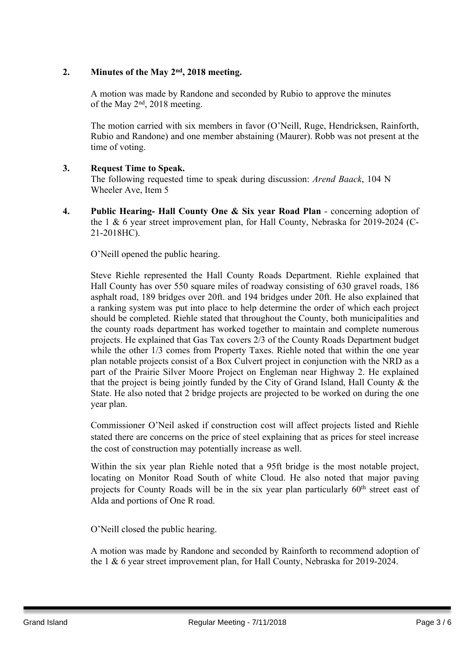# **2. Minutes of the May 2 nd , 2018 meeting.**

A motion was made by Randone and seconded by Rubio to approve the minutes of the May  $2<sup>nd</sup>$ , 2018 meeting.

The motion carried with six members in favor (O'Neill, Ruge, Hendricksen, Rainforth, Rubio and Randone) and one member abstaining (Maurer). Robb was not present at the time of voting.

## **3. Request Time to Speak.**

The following requested time to speak during discussion: *Arend Baack*, 104 N Wheeler Ave, Item 5

**4. Public Hearing- Hall County One & Six year Road Plan** - concerning adoption of the 1 & 6 year street improvement plan, for Hall County, Nebraska for 2019-2024 (C-21-2018HC).

O'Neill opened the public hearing.

Steve Riehle represented the Hall County Roads Department. Riehle explained that Hall County has over 550 square miles of roadway consisting of 630 gravel roads, 186 asphalt road, 189 bridges over 20ft. and 194 bridges under 20ft. He also explained that a ranking system was put into place to help determine the order of which each project should be completed. Riehle stated that throughout the County, both municipalities and the county roads department has worked together to maintain and complete numerous projects. He explained that Gas Tax covers 2/3 of the County Roads Department budget while the other 1/3 comes from Property Taxes. Riehle noted that within the one year plan notable projects consist of a Box Culvert project in conjunction with the NRD as a part of the Prairie Silver Moore Project on Engleman near Highway 2. He explained that the project is being jointly funded by the City of Grand Island, Hall County & the State. He also noted that 2 bridge projects are projected to be worked on during the one year plan.

Commissioner O'Neil asked if construction cost will affect projects listed and Riehle stated there are concerns on the price of steel explaining that as prices for steel increase the cost of construction may potentially increase as well.

Within the six year plan Riehle noted that a 95ft bridge is the most notable project, locating on Monitor Road South of white Cloud. He also noted that major paving projects for County Roads will be in the six year plan particularly 60<sup>th</sup> street east of Alda and portions of One R road.

O'Neill closed the public hearing.

A motion was made by Randone and seconded by Rainforth to recommend adoption of the 1 & 6 year street improvement plan, for Hall County, Nebraska for 2019-2024.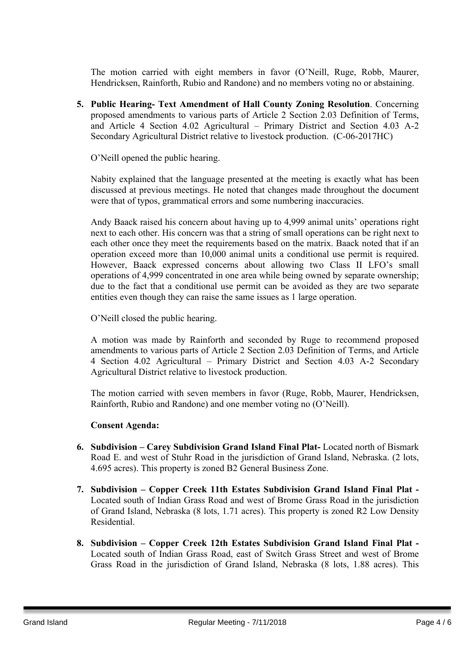The motion carried with eight members in favor (O'Neill, Ruge, Robb, Maurer, Hendricksen, Rainforth, Rubio and Randone) and no members voting no or abstaining.

**5. Public Hearing- Text Amendment of Hall County Zoning Resolution**. Concerning proposed amendments to various parts of Article 2 Section 2.03 Definition of Terms, and Article 4 Section 4.02 Agricultural – Primary District and Section 4.03 A-2 Secondary Agricultural District relative to livestock production. (C-06-2017HC)

O'Neill opened the public hearing.

Nabity explained that the language presented at the meeting is exactly what has been discussed at previous meetings. He noted that changes made throughout the document were that of typos, grammatical errors and some numbering inaccuracies.

Andy Baack raised his concern about having up to 4,999 animal units' operations right next to each other. His concern was that a string of small operations can be right next to each other once they meet the requirements based on the matrix. Baack noted that if an operation exceed more than 10,000 animal units a conditional use permit is required. However, Baack expressed concerns about allowing two Class II LFO's small operations of 4,999 concentrated in one area while being owned by separate ownership; due to the fact that a conditional use permit can be avoided as they are two separate entities even though they can raise the same issues as 1 large operation.

O'Neill closed the public hearing.

A motion was made by Rainforth and seconded by Ruge to recommend proposed amendments to various parts of Article 2 Section 2.03 Definition of Terms, and Article 4 Section 4.02 Agricultural – Primary District and Section 4.03 A-2 Secondary Agricultural District relative to livestock production.

The motion carried with seven members in favor (Ruge, Robb, Maurer, Hendricksen, Rainforth, Rubio and Randone) and one member voting no (O'Neill).

#### **Consent Agenda:**

- **6. Subdivision – Carey Subdivision Grand Island Final Plat-** Located north of Bismark Road E. and west of Stuhr Road in the jurisdiction of Grand Island, Nebraska. (2 lots, 4.695 acres). This property is zoned B2 General Business Zone.
- **7. Subdivision – Copper Creek 11th Estates Subdivision Grand Island Final Plat -** Located south of Indian Grass Road and west of Brome Grass Road in the jurisdiction of Grand Island, Nebraska (8 lots, 1.71 acres). This property is zoned R2 Low Density Residential.
- **8. Subdivision – Copper Creek 12th Estates Subdivision Grand Island Final Plat -** Located south of Indian Grass Road, east of Switch Grass Street and west of Brome Grass Road in the jurisdiction of Grand Island, Nebraska (8 lots, 1.88 acres). This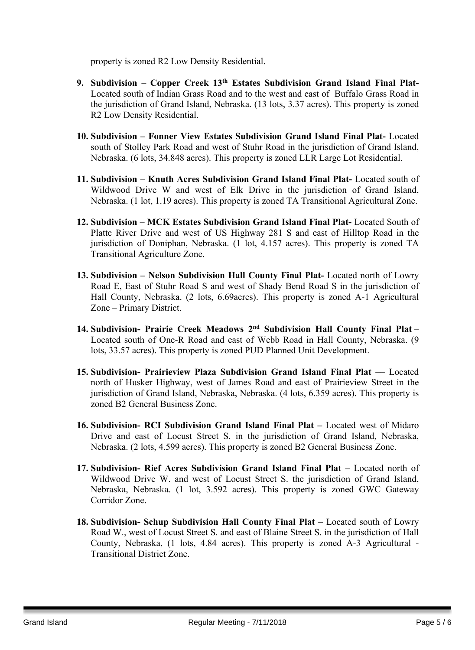property is zoned R2 Low Density Residential.

- **9. Subdivision – Copper Creek 13th Estates Subdivision Grand Island Final Plat-**Located south of Indian Grass Road and to the west and east of Buffalo Grass Road in the jurisdiction of Grand Island, Nebraska. (13 lots, 3.37 acres). This property is zoned R2 Low Density Residential.
- **10. Subdivision – Fonner View Estates Subdivision Grand Island Final Plat-** Located south of Stolley Park Road and west of Stuhr Road in the jurisdiction of Grand Island, Nebraska. (6 lots, 34.848 acres). This property is zoned LLR Large Lot Residential.
- **11. Subdivision – Knuth Acres Subdivision Grand Island Final Plat-** Located south of Wildwood Drive W and west of Elk Drive in the jurisdiction of Grand Island, Nebraska. (1 lot, 1.19 acres). This property is zoned TA Transitional Agricultural Zone.
- **12. Subdivision – MCK Estates Subdivision Grand Island Final Plat-** Located South of Platte River Drive and west of US Highway 281 S and east of Hilltop Road in the jurisdiction of Doniphan, Nebraska. (1 lot, 4.157 acres). This property is zoned TA Transitional Agriculture Zone.
- **13. Subdivision – Nelson Subdivision Hall County Final Plat-** Located north of Lowry Road E, East of Stuhr Road S and west of Shady Bend Road S in the jurisdiction of Hall County, Nebraska. (2 lots, 6.69acres). This property is zoned A-1 Agricultural Zone – Primary District.
- **14. Subdivision- Prairie Creek Meadows 2 nd Subdivision Hall County Final Plat –** Located south of One-R Road and east of Webb Road in Hall County, Nebraska. (9 lots, 33.57 acres). This property is zoned PUD Planned Unit Development.
- **15. Subdivision- Prairieview Plaza Subdivision Grand Island Final Plat ––** Located north of Husker Highway, west of James Road and east of Prairieview Street in the jurisdiction of Grand Island, Nebraska, Nebraska. (4 lots, 6.359 acres). This property is zoned B2 General Business Zone.
- **16. Subdivision- RCI Subdivision Grand Island Final Plat –** Located west of Midaro Drive and east of Locust Street S. in the jurisdiction of Grand Island, Nebraska, Nebraska. (2 lots, 4.599 acres). This property is zoned B2 General Business Zone.
- **17. Subdivision- Rief Acres Subdivision Grand Island Final Plat –** Located north of Wildwood Drive W. and west of Locust Street S. the jurisdiction of Grand Island, Nebraska, Nebraska. (1 lot, 3.592 acres). This property is zoned GWC Gateway Corridor Zone.
- **18. Subdivision- Schup Subdivision Hall County Final Plat –** Located south of Lowry Road W., west of Locust Street S. and east of Blaine Street S. in the jurisdiction of Hall County, Nebraska, (1 lots, 4.84 acres). This property is zoned A-3 Agricultural - Transitional District Zone.